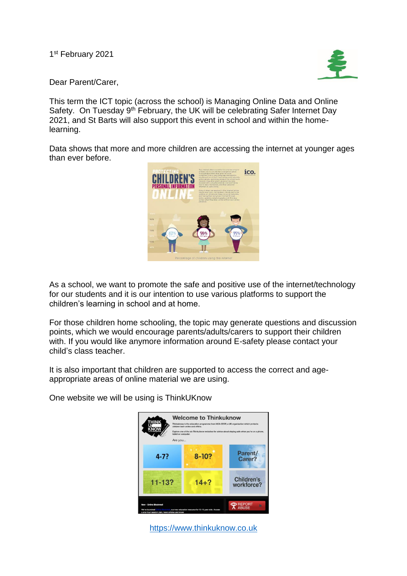1<sup>st</sup> February 2021



Dear Parent/Carer,

This term the ICT topic (across the school) is Managing Online Data and Online Safety. On Tuesday 9<sup>th</sup> February, the UK will be celebrating Safer Internet Day 2021, and St Barts will also support this event in school and within the homelearning.

Data shows that more and more children are accessing the internet at younger ages than ever before.



As a school, we want to promote the safe and positive use of the internet/technology for our students and it is our intention to use various platforms to support the children's learning in school and at home.

For those children home schooling, the topic may generate questions and discussion points, which we would encourage parents/adults/carers to support their children with. If you would like anymore information around E-safety please contact your child's class teacher.

It is also important that children are supported to access the correct and ageappropriate areas of online material we are using.

One website we will be using is ThinkUKnow



[https://www.thinkuknow.co.uk](https://www.thinkuknow.co.uk/)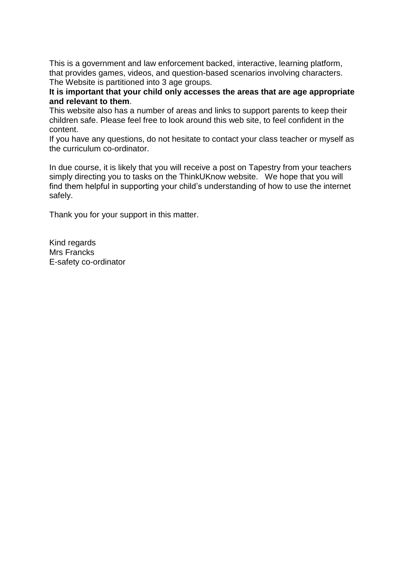This is a government and law enforcement backed, interactive, learning platform, that provides games, videos, and question-based scenarios involving characters. The Website is partitioned into 3 age groups.

**It is important that your child only accesses the areas that are age appropriate and relevant to them**.

This website also has a number of areas and links to support parents to keep their children safe. Please feel free to look around this web site, to feel confident in the content.

If you have any questions, do not hesitate to contact your class teacher or myself as the curriculum co-ordinator.

In due course, it is likely that you will receive a post on Tapestry from your teachers simply directing you to tasks on the ThinkUKnow website. We hope that you will find them helpful in supporting your child's understanding of how to use the internet safely.

Thank you for your support in this matter.

Kind regards Mrs Francks E-safety co-ordinator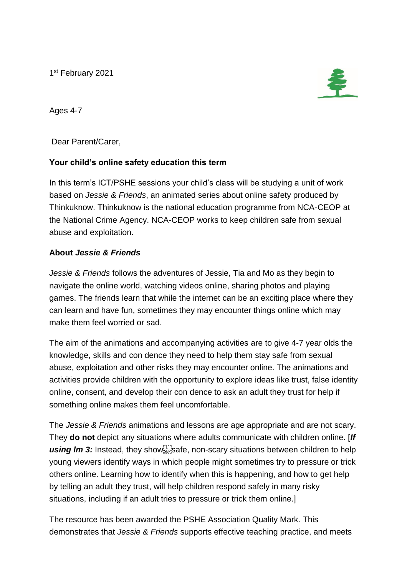1 st February 2021



Ages 4-7

Dear Parent/Carer,

## **Your child's online safety education this term**

In this term's ICT/PSHE sessions your child's class will be studying a unit of work based on *Jessie & Friends*, an animated series about online safety produced by Thinkuknow. Thinkuknow is the national education programme from NCA-CEOP at the National Crime Agency. NCA-CEOP works to keep children safe from sexual abuse and exploitation.

## **About** *Jessie & Friends*

*Jessie & Friends* follows the adventures of Jessie, Tia and Mo as they begin to navigate the online world, watching videos online, sharing photos and playing games. The friends learn that while the internet can be an exciting place where they can learn and have fun, sometimes they may encounter things online which may make them feel worried or sad.

The aim of the animations and accompanying activities are to give 4-7 year olds the knowledge, skills and con dence they need to help them stay safe from sexual abuse, exploitation and other risks they may encounter online. The animations and activities provide children with the opportunity to explore ideas like trust, false identity online, consent, and develop their con dence to ask an adult they trust for help if something online makes them feel uncomfortable.

The *Jessie & Friends* animations and lessons are age appropriate and are not scary. They **do not** depict any situations where adults communicate with children online. [*If*  using Im 3: Instead, they show<sup>17</sup> safe, non-scary situations between children to help young viewers identify ways in which people might sometimes try to pressure or trick others online. Learning how to identify when this is happening, and how to get help by telling an adult they trust, will help children respond safely in many risky situations, including if an adult tries to pressure or trick them online.]

The resource has been awarded the PSHE Association Quality Mark. This demonstrates that *Jessie & Friends* supports effective teaching practice, and meets